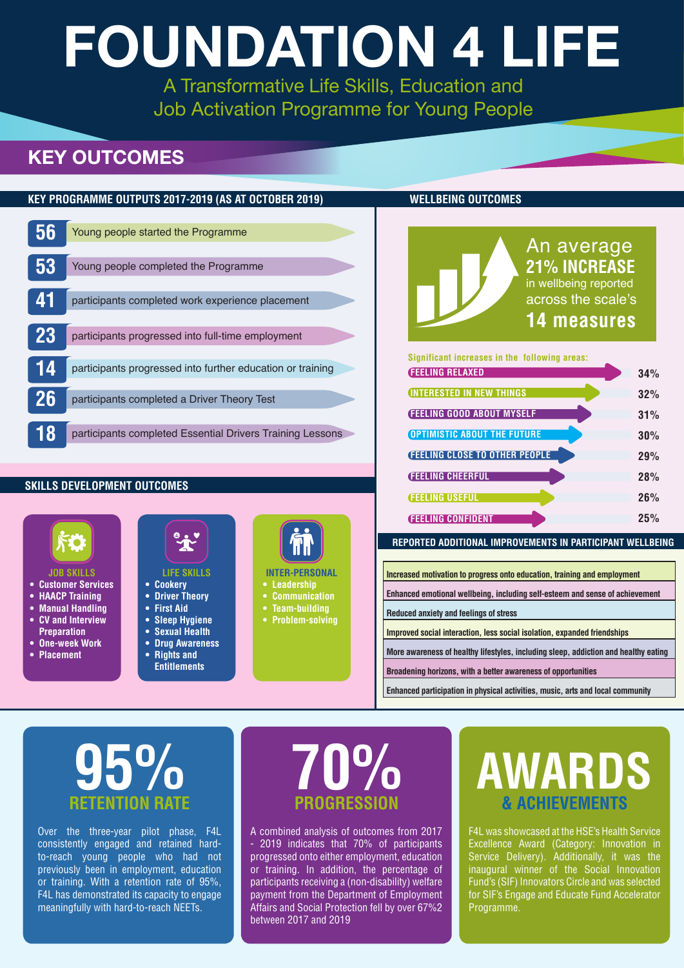|    | <u>KEY PROGRAMME OUTPUTS 2017-2019 (AS AT OCTOBER 2019)</u> |
|----|-------------------------------------------------------------|
|    |                                                             |
| 56 | Young people started the Programme                          |
|    |                                                             |
| 53 | Young people completed the Programme                        |
|    |                                                             |
| 41 | participants completed work experience placement            |
|    |                                                             |
| 23 | participants progressed into full-time employment           |
|    |                                                             |
| 14 | participants progressed into further education or training  |
|    |                                                             |
| 26 | participants completed a Driver Theory Test                 |
|    |                                                             |
| 8  | participants completed Essential Drivers Training Lessons   |
|    |                                                             |



| 34% |
|-----|
| 32% |
|     |
| 31% |
| 30% |
| 29% |
| 28% |
| 26% |
| 25% |
|     |

- **• Customer Services**
- **• HAACP Training**
- **• Manual Handling • CV and Interview**
- **Preparation • One-week Work**
- **• Placement**

|  | e |  |
|--|---|--|
|  |   |  |
|  |   |  |

### **• Cookery**

- **• Driver Theory**
- **• First Aid**
- **• Sleep Hygiene**
- **• Sexual Health**
- **• Drug Awareness • Rights and Entitlements**



- **• Leadership**
- **• Communication**
- **• Team-building**
- **• Problem-solving**

#### **WELLBEING OUTCOMES**

#### **JOB SKILLS LIFE SKILLS INTER-PERSONAL**

#### **SKILLS DEVELOPMENT OUTCOMES**



| Increased motivation to progress onto education, training and employment            |
|-------------------------------------------------------------------------------------|
| Enhanced emotional wellbeing, including self-esteem and sense of achievement        |
| <b>Reduced anxiety and feelings of stress</b>                                       |
| Improved social interaction, less social isolation, expanded friendships            |
| More awareness of healthy lifestyles, including sleep, addiction and healthy eating |
| Broadening horizons, with a better awareness of opportunities                       |
|                                                                                     |

**Enhanced participation in physical activities, music, arts and local community**

#### **REPORTED ADDITIONAL IMPROVEMENTS IN PARTICIPANT WELLBEING**

# **FOUNDATION 4 LIFE**

A Transformative Life Skills, Education and Job Activation Programme for Young People

### **KEY OUTCOMES**

F4L was showcased at the HSE's Health Service Excellence Award (Category: Innovation in Service Delivery). Additionally, it was the inaugural winner of the Social Innovation Fund's (SIF) Innovators Circle and was selected for SIF's Engage and Educate Fund Accelerator Programme.

Over the three-year pilot phase, F4L consistently engaged and retained hardto-reach young people who had not previously been in employment, education or training. With a retention rate of 95%, F4L has demonstrated its capacity to engage meaningfully with hard-to-reach NEETs.

## **RETENTION RATE 95% 70%**

# **PROGRESSION**

## **AWARDS & ACHIEVEMENTS**

A combined analysis of outcomes from 2017 - 2019 indicates that 70% of participants progressed onto either employment, education or training. In addition, the percentage of participants receiving a (non-disability) welfare payment from the Department of Employment Affairs and Social Protection fell by over 67%2 between 2017 and 2019